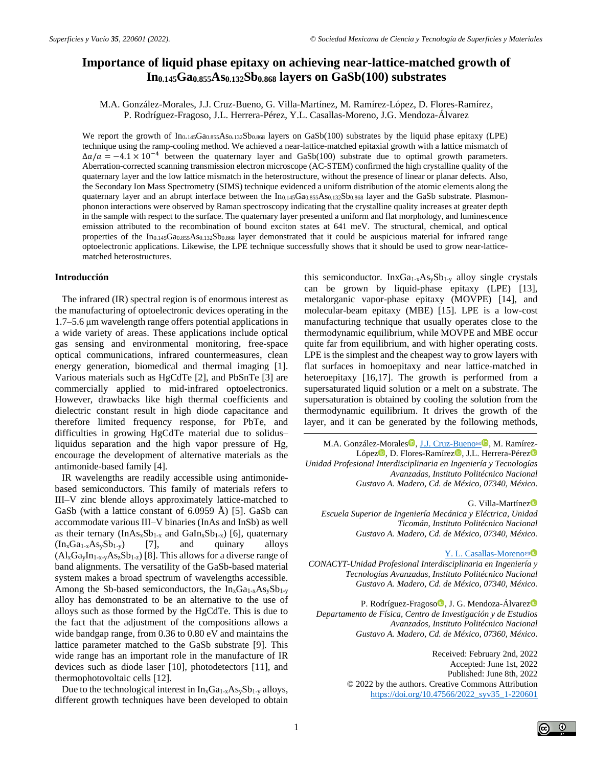# **Importance of liquid phase epitaxy on achieving near-lattice-matched growth of In0.145Ga0.855As0.132Sb0.868 layers on GaSb(100) substrates**

M.A. González-Morales, J.J. Cruz-Bueno, G. Villa-Martínez, M. Ramírez-López, D. Flores-Ramírez, P. Rodríguez-Fragoso, J.L. Herrera-Pérez, Y.L. Casallas-Moreno, J.G. Mendoza-Álvarez

We report the growth of  $In_{0.145}Ga_{0.855}As_{0.132}Sb_{0.868}$  layers on  $GaSb(100)$  substrates by the liquid phase epitaxy (LPE) technique using the ramp-cooling method. We achieved a near-lattice-matched epitaxial growth with a lattice mismatch of  $\Delta a/a = -4.1 \times 10^{-4}$  between the quaternary layer and GaSb(100) substrate due to optimal growth parameters. Aberration-corrected scanning transmission electron microscope (AC-STEM) confirmed the high crystalline quality of the quaternary layer and the low lattice mismatch in the heterostructure, without the presence of linear or planar defects. Also, the Secondary Ion Mass Spectrometry (SIMS) technique evidenced a uniform distribution of the atomic elements along the quaternary layer and an abrupt interface between the In0.145Ga0.855As0.132Sb0.868 layer and the GaSb substrate. Plasmonphonon interactions were observed by Raman spectroscopy indicating that the crystalline quality increases at greater depth in the sample with respect to the surface. The quaternary layer presented a uniform and flat morphology, and luminescence emission attributed to the recombination of bound exciton states at 641 meV. The structural, chemical, and optical properties of the In0.145Ga0.855As0.132Sb0.868 layer demonstrated that it could be auspicious material for infrared range optoelectronic applications. Likewise, the LPE technique successfully shows that it should be used to grow near-latticematched heterostructures.

## **Introducción**

The infrared (IR) spectral region is of enormous interest as the manufacturing of optoelectronic devices operating in the 1.7–5.6 μm wavelength range offers potential applications in a wide variety of areas. These applications include optical gas sensing and environmental monitoring, free-space optical communications, infrared countermeasures, clean energy generation, biomedical and thermal imaging [1]. Various materials such as HgCdTe [2], and PbSnTe [3] are commercially applied to mid-infrared optoelectronics. However, drawbacks like high thermal coefficients and dielectric constant result in high diode capacitance and therefore limited frequency response, for PbTe, and difficulties in growing HgCdTe material due to solidus– liquidus separation and the high vapor pressure of Hg, encourage the development of alternative materials as the antimonide-based family [4].

IR wavelengths are readily accessible using antimonidebased semiconductors. This family of materials refers to III–V zinc blende alloys approximately lattice-matched to GaSb (with a lattice constant of 6.0959 Å) [5]. GaSb can accommodate various III–V binaries (InAs and InSb) as well as their ternary  $(InAs_xSb_{1-x}$  and  $Galn_xSb_{1-x}$  [6], quaternary  $(In_xGa_{1-x}As_vSb_{1-v})$  [7], and quinary alloys  $(Al_xGa_yIn_{1-x-y}As_zSb_{1-z})$  [8]. This allows for a diverse range of band alignments. The versatility of the GaSb-based material system makes a broad spectrum of wavelengths accessible. Among the Sb-based semiconductors, the  $In_xGa_{1-x}As_ySb_{1-y}$ alloy has demonstrated to be an alternative to the use of alloys such as those formed by the HgCdTe. This is due to the fact that the adjustment of the compositions allows a wide bandgap range, from 0.36 to 0.80 eV and maintains the lattice parameter matched to the GaSb substrate [9]. This wide range has an important role in the manufacture of IR devices such as diode laser [10], photodetectors [11], and thermophotovoltaic cells [12].

Due to the technological interest in  $In_xGa_{1-x}As_ySb_{1-y}$  alloys, different growth techniques have been developed to obtain this semiconductor.  $InxGa<sub>1-x</sub>As<sub>y</sub>Sb<sub>1-y</sub>$  alloy single crystals can be grown by liquid-phase epitaxy (LPE) [13], metalorganic vapor-phase epitaxy (MOVPE) [14], and molecular-beam epitaxy (MBE) [15]. LPE is a low-cost manufacturing technique that usually operates close to the thermodynamic equilibrium, while MOVPE and MBE occur quite far from equilibrium, and with higher operating costs. LPE is the simplest and the cheapest way to grow layers with flat surfaces in homoepitaxy and near lattice-matched in heteroepitaxy [16,17]. The growth is performed from a supersaturated liquid solution or a melt on a substrate. The supersaturation is obtained by cooling the solution from the thermodynamic equilibrium. It drives the growth of the layer, and it can be generated by the following methods,

M.A. González-Morales<sup>1</sup>[, J.J. Cruz-Bueno](mailto:jc_bueno17@hotmail.com)<sup>s 1</sup>, M. Ramírez-López<sup>o</sup>, D. Flores-Ramírez<sup>o</sup>, J.L. Herrera-Pérez<sup>o</sup> *Unidad Profesional Interdisciplinaria en Ingeniería y Tecnologías Avanzadas, Instituto Politécnico Nacional Gustavo A. Madero, Cd. de México, 07340, México.*

G. Villa-Martínez *Escuela Superior de Ingeniería Mecánica y Eléctrica, Unidad Ticomán, Instituto Politécnico Nacional Gustavo A. Madero, Cd. de México, 07340, México.*

[Y. L. Casallas-Moreno](mailto:ycasallasm@ipn.mx)<sup>⊠</sup> *CONACYT-Unidad Profesional Interdisciplinaria en Ingeniería y Tecnologías Avanzadas, Instituto Politécnico Nacional Gustavo A. Madero, Cd. de México, 07340, México.*

P. Rodríguez-Fragoso<sup>n</sup>, J. G. Mendoza-Álvarez<sup>n</sup> *Departamento de Física, Centro de Investigación y de Estudios Avanzados, Instituto Politécnico Nacional Gustavo A. Madero, Cd. de México, 07360, México.*

> Received: February 2nd, 2022 Accepted: June 1st, 2022 Published: June 8th, 2022 © 2022 by the authors. Creative Commons Attribution [https://doi.org/10.47566/2022\\_syv35\\_1-220601](https://doi.org/10.47566/2022_syv35_1-220601)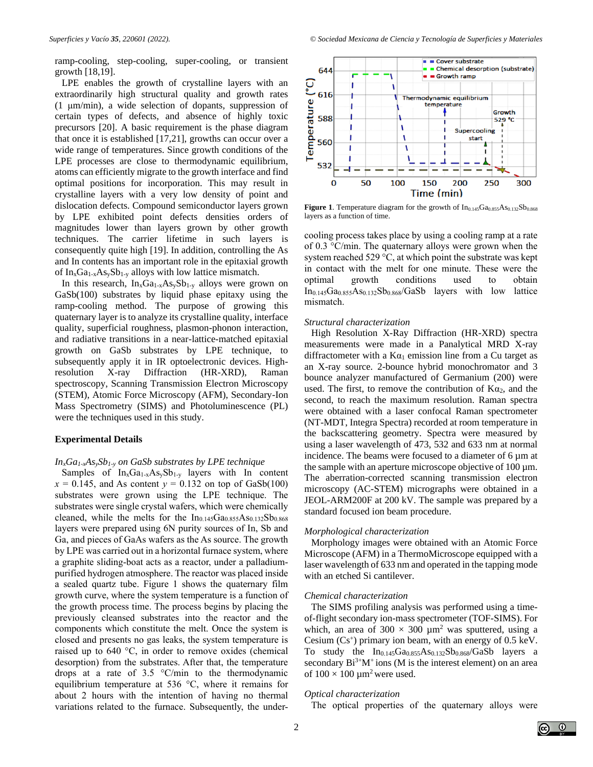ramp-cooling, step-cooling, super-cooling, or transient growth [18,19].

LPE enables the growth of crystalline layers with an extraordinarily high structural quality and growth rates (1 μm/min), a wide selection of dopants, suppression of certain types of defects, and absence of highly toxic precursors [20]. A basic requirement is the phase diagram that once it is established [17,21], growths can occur over a wide range of temperatures. Since growth conditions of the LPE processes are close to thermodynamic equilibrium, atoms can efficiently migrate to the growth interface and find optimal positions for incorporation. This may result in crystalline layers with a very low density of point and dislocation defects. Compound semiconductor layers grown by LPE exhibited point defects densities orders of magnitudes lower than layers grown by other growth techniques. The carrier lifetime in such layers is consequently quite high [19]. In addition, controlling the As and In contents has an important role in the epitaxial growth of  $In_xGa_{1-x}As_ySb_{1-y}$  alloys with low lattice mismatch.

In this research,  $In_xGa_{1-x}As_ySb_{1-y}$  alloys were grown on GaSb(100) substrates by liquid phase epitaxy using the ramp-cooling method. The purpose of growing this quaternary layer is to analyze its crystalline quality, interface quality, superficial roughness, plasmon-phonon interaction, and radiative transitions in a near-lattice-matched epitaxial growth on GaSb substrates by LPE technique, to subsequently apply it in IR optoelectronic devices. Highresolution X-ray Diffraction (HR-XRD), Raman spectroscopy, Scanning Transmission Electron Microscopy (STEM), Atomic Force Microscopy (AFM), Secondary-Ion Mass Spectrometry (SIMS) and Photoluminescence (PL) were the techniques used in this study.

### **Experimental Details**

#### *InxGa1-xAsySb1-y on GaSb substrates by LPE technique*

Samples of  $In_xGa_{1-x}As_ySb_{1-y}$  layers with In content  $x = 0.145$ , and As content  $y = 0.132$  on top of GaSb(100) substrates were grown using the LPE technique. The substrates were single crystal wafers, which were chemically cleaned, while the melts for the  $In<sub>0.145</sub>Ga<sub>0.855</sub>As<sub>0.132</sub>Sb<sub>0.868</sub>$ layers were prepared using 6N purity sources of In, Sb and Ga, and pieces of GaAs wafers as the As source. The growth by LPE was carried out in a horizontal furnace system, where a graphite sliding-boat acts as a reactor, under a palladiumpurified hydrogen atmosphere. The reactor was placed inside a sealed quartz tube. Figure 1 shows the quaternary film growth curve, where the system temperature is a function of the growth process time. The process begins by placing the previously cleansed substrates into the reactor and the components which constitute the melt. Once the system is closed and presents no gas leaks, the system temperature is raised up to 640 °C, in order to remove oxides (chemical desorption) from the substrates. After that, the temperature drops at a rate of 3.5 °C/min to the thermodynamic equilibrium temperature at 536 °C, where it remains for about 2 hours with the intention of having no thermal variations related to the furnace. Subsequently, the under-

*Superficies y Vacío 35, 220601 (2022). © Sociedad Mexicana de Ciencia y Tecnología de Superficies y Materiales*



**Figure 1**. Temperature diagram for the growth of  $In<sub>0.145</sub>Ga<sub>0.855</sub>As<sub>0.132</sub>Sb<sub>0.868</sub>$ layers as a function of time.

cooling process takes place by using a cooling ramp at a rate of 0.3 °C/min. The quaternary alloys were grown when the system reached 529 °C, at which point the substrate was kept in contact with the melt for one minute. These were the optimal growth conditions used to obtain  $In<sub>0.145</sub>Ga<sub>0.855</sub>As<sub>0.132</sub>Sb<sub>0.868</sub>/GaSb$  layers with low lattice mismatch.

#### *Structural characterization*

High Resolution X-Ray Diffraction (HR-XRD) spectra measurements were made in a Panalytical MRD X-ray diffractometer with a  $K\alpha_1$  emission line from a Cu target as an X-ray source. 2-bounce hybrid monochromator and 3 bounce analyzer manufactured of Germanium (200) were used. The first, to remove the contribution of  $K\alpha_2$ , and the second, to reach the maximum resolution. Raman spectra were obtained with a laser confocal Raman spectrometer (NT-MDT, Integra Spectra) recorded at room temperature in the backscattering geometry. Spectra were measured by using a laser wavelength of 473, 532 and 633 nm at normal incidence. The beams were focused to a diameter of  $6 \mu m$  at the sample with an aperture microscope objective of 100 µm. The aberration-corrected scanning transmission electron microscopy (AC-STEM) micrographs were obtained in a JEOL-ARM200F at 200 kV. The sample was prepared by a standard focused ion beam procedure.

## *Morphological characterization*

Morphology images were obtained with an Atomic Force Microscope (AFM) in a ThermoMicroscope equipped with a laser wavelength of 633 nm and operated in the tapping mode with an etched Si cantilever.

#### *Chemical characterization*

The SIMS profiling analysis was performed using a timeof-flight secondary ion-mass spectrometer (TOF-SIMS). For which, an area of  $300 \times 300 \mu m^2$  was sputtered, using a Cesium  $(Cs^+)$  primary ion beam, with an energy of 0.5 keV. To study the  $In<sub>0.145</sub>Ga<sub>0.855</sub>As<sub>0.132</sub>Sb<sub>0.868</sub>/GaSb$  layers a secondary  $Bi^{3+}M^{+}$  ions (M is the interest element) on an area of  $100 \times 100 \mu m^2$  were used.

#### *Optical characterization*

The optical properties of the quaternary alloys were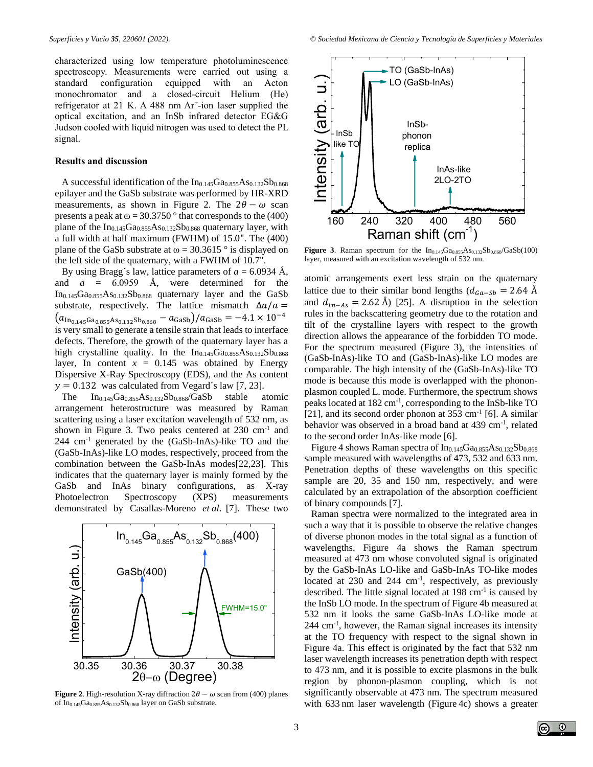characterized using low temperature photoluminescence spectroscopy. Measurements were carried out using a standard configuration equipped with an Acton monochromator and a closed-circuit Helium (He) refrigerator at 21 K. A 488 nm Ar<sup>+</sup>-ion laser supplied the optical excitation, and an InSb infrared detector EG&G Judson cooled with liquid nitrogen was used to detect the PL signal.

### **Results and discussion**

A successful identification of the  $In<sub>0.145</sub>Ga<sub>0.855</sub>As<sub>0.132</sub>Sb<sub>0.868</sub>$ epilayer and the GaSb substrate was performed by HR-XRD measurements, as shown in Figure 2. The  $2\theta - \omega$  scan presents a peak at  $\omega = 30.3750$  ° that corresponds to the (400) plane of the  $In<sub>0.145</sub>Ga<sub>0.855</sub>As<sub>0.132</sub>Sb<sub>0.868</sub>$  quaternary layer, with a full width at half maximum (FWHM) of 15.0". The (400) plane of the GaSb substrate at  $\omega = 30.3615$  ° is displayed on the left side of the quaternary, with a FWHM of 10.7".

By using Bragg's law, lattice parameters of  $a = 6.0934$  Å, and *a* = 6.0959 Å, were determined for the  $In<sub>0.145</sub>Ga<sub>0.855</sub>As<sub>0.132</sub>Sb<sub>0.868</sub>$  quaternary layer and the GaSb substrate, respectively. The lattice mismatch  $\Delta a/a =$  $(a<sub>In<sub>0.145</sub>Ga<sub>0.855</sub>As<sub>0.132</sub>Sh<sub>0.868</sub> - a<sub>GaSb</sub>)/a<sub>GaSb</sub> = -4.1 \times 10<sup>-4</sup></sub>$ is very small to generate a tensile strain that leads to interface defects. Therefore, the growth of the quaternary layer has a high crystalline quality. In the  $In<sub>0.145</sub>Ga<sub>0.855</sub>As<sub>0.132</sub>Sb<sub>0.868</sub>$ layer, In content  $x = 0.145$  was obtained by Energy Dispersive X-Ray Spectroscopy (EDS), and the As content  $v = 0.132$  was calculated from Vegard´s law [7, 23].

The  $In<sub>0.145</sub>Ga<sub>0.855</sub>As<sub>0.132</sub>Sb<sub>0.868</sub>/GaSb$  stable atomic arrangement heterostructure was measured by Raman scattering using a laser excitation wavelength of 532 nm, as shown in Figure 3. Two peaks centered at 230 cm<sup>-1</sup> and  $244 \text{ cm}^{-1}$  generated by the (GaSb-InAs)-like TO and the (GaSb-InAs)-like LO modes, respectively, proceed from the combination between the GaSb-InAs modes[22,23]. This indicates that the quaternary layer is mainly formed by the GaSb and InAs binary configurations, as X-ray Photoelectron Spectroscopy (XPS) measurements demonstrated by Casallas-Moreno *et al*. [7]. These two



**Figure 2.** High-resolution X-ray diffraction  $2\theta - \omega$  scan from (400) planes of  $In<sub>0.145</sub>Ga<sub>0.855</sub>As<sub>0.132</sub>Sb<sub>0.868</sub>$  layer on GaSb substrate.



**Figure 3.** Raman spectrum for the  $In_{0.145}Ga_{0.855}As_{0.132}Sb_{0.868}/GaSb(100)$ layer, measured with an excitation wavelength of 532 nm.

atomic arrangements exert less strain on the quaternary lattice due to their similar bond lengths ( $d_{Ga-Sb} = 2.64$  Å and  $d_{In-As} = 2.62$  Å) [25]. A disruption in the selection rules in the backscattering geometry due to the rotation and tilt of the crystalline layers with respect to the growth direction allows the appearance of the forbidden TO mode. For the spectrum measured (Figure 3), the intensities of (GaSb-InAs)-like TO and (GaSb-InAs)-like LO modes are comparable. The high intensity of the (GaSb-InAs)-like TO mode is because this mode is overlapped with the phononplasmon coupled L- mode. Furthermore, the spectrum shows peaks located at 182 cm<sup>-1</sup>, corresponding to the InSb-like TO [21], and its second order phonon at  $353 \text{ cm}^{-1}$  [6]. A similar behavior was observed in a broad band at 439 cm-1 , related to the second order InAs-like mode [6].

Figure 4 shows Raman spectra of  $In<sub>0.145</sub>Ga<sub>0.855</sub>As<sub>0.132</sub>Sb<sub>0.868</sub>$ sample measured with wavelengths of 473, 532 and 633 nm. Penetration depths of these wavelengths on this specific sample are 20, 35 and 150 nm, respectively, and were calculated by an extrapolation of the absorption coefficient of binary compounds [7].

Raman spectra were normalized to the integrated area in such a way that it is possible to observe the relative changes of diverse phonon modes in the total signal as a function of wavelengths. Figure 4a shows the Raman spectrum measured at 473 nm whose convoluted signal is originated by the GaSb-InAs LO-like and GaSb-InAs TO-like modes located at  $230$  and  $244 \text{ cm}^{-1}$ , respectively, as previously described. The little signal located at 198 cm<sup>-1</sup> is caused by the InSb LO mode. In the spectrum of Figure 4b measured at 532 nm it looks the same GaSb-InAs LO-like mode at 244 cm-1 , however, the Raman signal increases its intensity at the TO frequency with respect to the signal shown in Figure 4a. This effect is originated by the fact that 532 nm laser wavelength increases its penetration depth with respect to 473 nm, and it is possible to excite plasmons in the bulk region by phonon-plasmon coupling, which is not significantly observable at 473 nm. The spectrum measured with 633 nm laser wavelength (Figure 4c) shows a greater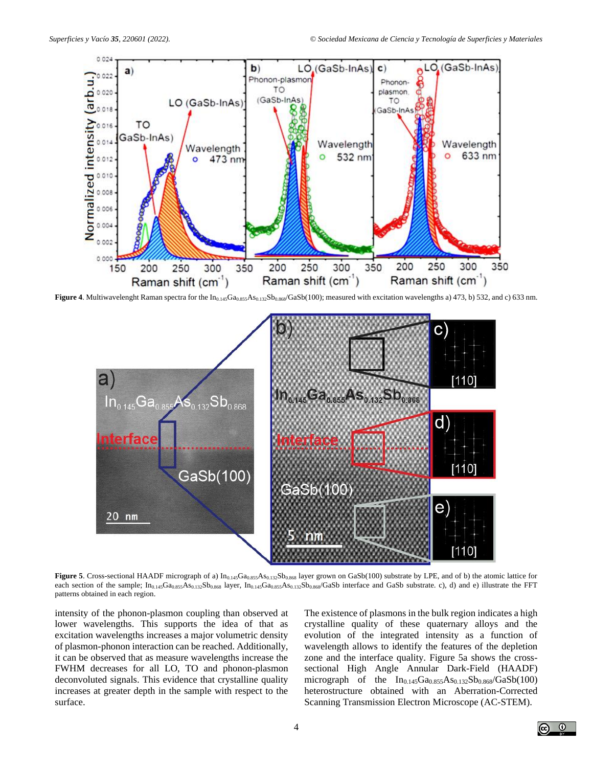

Figure 4. Multiwavelenght Raman spectra for the In<sub>0.145</sub>Ga<sub>0.855</sub>As<sub>0.132</sub>Sb<sub>0.868</sub>/GaSb(100); measured with excitation wavelengths a) 473, b) 532, and c) 633 nm.



Figure 5. Cross-sectional HAADF micrograph of a) In<sub>0.145</sub>Ga<sub>0.855</sub>As<sub>0.132</sub>Sb<sub>0.868</sub> layer grown on GaSb(100) substrate by LPE, and of b) the atomic lattice for each section of the sample;  $In_{0.145}Ga_{0.855}As_{0.132}Sb_{0.868}$  layer,  $In_{0.145}Ga_{0.855}As_{0.132}Sb_{0.868}$ /GaSb interface and GaSb substrate. c), d) and e) illustrate the FFT patterns obtained in each region.

intensity of the phonon-plasmon coupling than observed at lower wavelengths. This supports the idea of that as excitation wavelengths increases a major volumetric density of plasmon-phonon interaction can be reached. Additionally, it can be observed that as measure wavelengths increase the FWHM decreases for all LO, TO and phonon-plasmon deconvoluted signals. This evidence that crystalline quality increases at greater depth in the sample with respect to the surface.

The existence of plasmons in the bulk region indicates a high crystalline quality of these quaternary alloys and the evolution of the integrated intensity as a function of wavelength allows to identify the features of the depletion zone and the interface quality. Figure 5a shows the crosssectional High Angle Annular Dark-Field (HAADF) micrograph of the  $In_{0.145}Ga_{0.855}As_{0.132}Sb_{0.868}/GaSb(100)$ heterostructure obtained with an Aberration-Corrected Scanning Transmission Electron Microscope (AC-STEM).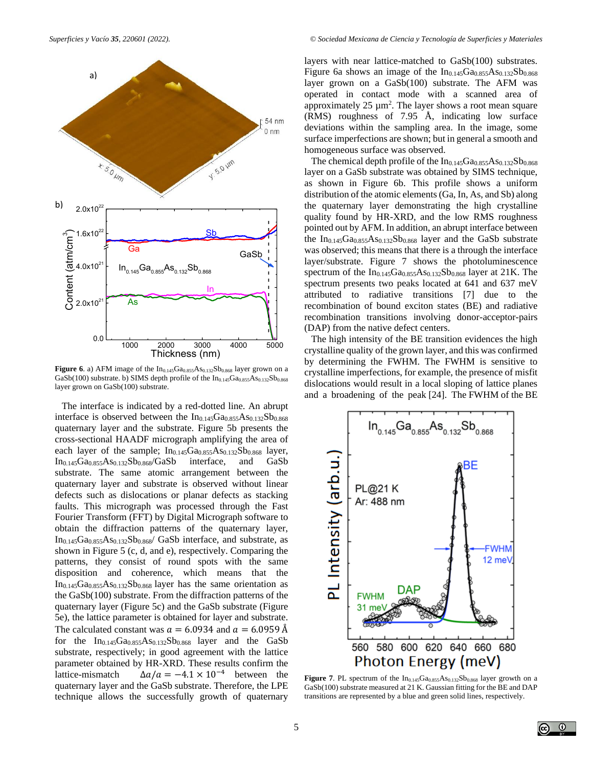

**Figure 6**. a) AFM image of the  $In_{0.145}Ga_{0.855}As_{0.132}Sb_{0.868}$  layer grown on a  $GaSb(100)$  substrate. b) SIMS depth profile of the  $In<sub>0.145</sub>Ga<sub>0.855</sub>As<sub>0.132</sub>Sb<sub>0.868</sub>$ layer grown on GaSb(100) substrate.

The interface is indicated by a red-dotted line. An abrupt interface is observed between the  $In<sub>0.145</sub>Ga<sub>0.855</sub>As<sub>0.132</sub>Sb<sub>0.868</sub>$ quaternary layer and the substrate. Figure 5b presents the cross-sectional HAADF micrograph amplifying the area of each layer of the sample;  $In<sub>0.145</sub>Ga<sub>0.855</sub>As<sub>0.132</sub>Sb<sub>0.868</sub> layer,$  $In<sub>0.145</sub>Ga<sub>0.855</sub>As<sub>0.132</sub>Sb<sub>0.868</sub>/GaSb$  interface, and GaSb substrate. The same atomic arrangement between the quaternary layer and substrate is observed without linear defects such as dislocations or planar defects as stacking faults. This micrograph was processed through the Fast Fourier Transform (FFT) by Digital Micrograph software to obtain the diffraction patterns of the quaternary layer, In0.145Ga0.855As0.132Sb0.868/ GaSb interface, and substrate, as shown in Figure 5 (c, d, and e), respectively. Comparing the patterns, they consist of round spots with the same disposition and coherence, which means that the  $In<sub>0.145</sub>Ga<sub>0.855</sub>As<sub>0.132</sub>Sb<sub>0.868</sub> layer has the same orientation as$ the GaSb(100) substrate. From the diffraction patterns of the quaternary layer (Figure 5c) and the GaSb substrate (Figure 5e), the lattice parameter is obtained for layer and substrate. The calculated constant was  $a = 6.0934$  and  $a = 6.0959$  Å for the  $In<sub>0.145</sub>Ga<sub>0.855</sub>As<sub>0.132</sub>Sb<sub>0.868</sub>$  layer and the GaSb substrate, respectively; in good agreement with the lattice parameter obtained by HR-XRD. These results confirm the lattice-mismatch  $\Delta a/a = -4.1 \times 10^{-4}$  between the quaternary layer and the GaSb substrate. Therefore, the LPE technique allows the successfully growth of quaternary

layers with near lattice-matched to GaSb(100) substrates. Figure 6a shows an image of the  $In<sub>0.145</sub>Ga<sub>0.855</sub>As<sub>0.132</sub>Sb<sub>0.868</sub>$ layer grown on a GaSb(100) substrate. The AFM was operated in contact mode with a scanned area of approximately  $25 \mu m^2$ . The layer shows a root mean square (RMS) roughness of 7.95 Å, indicating low surface deviations within the sampling area. In the image, some surface imperfections are shown; but in general a smooth and homogeneous surface was observed.

The chemical depth profile of the  $In<sub>0.145</sub>Ga<sub>0.855</sub>As<sub>0.132</sub>Sb<sub>0.868</sub>$ layer on a GaSb substrate was obtained by SIMS technique, as shown in Figure 6b. This profile shows a uniform distribution of the atomic elements (Ga, In, As, and Sb) along the quaternary layer demonstrating the high crystalline quality found by HR-XRD, and the low RMS roughness pointed out by AFM. In addition, an abrupt interface between the In<sub>0.145</sub>Ga<sub>0.855</sub>As<sub>0.132</sub>Sb<sub>0.868</sub> layer and the GaSb substrate was observed; this means that there is a through the interface layer/substrate. Figure 7 shows the photoluminescence spectrum of the  $In<sub>0.145</sub>Ga<sub>0.855</sub>As<sub>0.132</sub>Sb<sub>0.868</sub>$  layer at 21K. The spectrum presents two peaks located at 641 and 637 meV attributed to radiative transitions [7] due to the recombination of bound exciton states (BE) and radiative recombination transitions involving donor-acceptor-pairs (DAP) from the native defect centers.

1000 2000 3000 4000 5000 crystalline quality of the grown layer, and this was confirmed The high intensity of the BE transition evidences the high by determining the FWHM. The FWHM is sensitive to crystalline imperfections, for example, the presence of misfit dislocations would result in a local sloping of lattice planes and a broadening of the peak [24]. The FWHM of the BE



**Figure 7.** PL spectrum of the  $In_{0.145}Ga_{0.855}As_{0.132}Sb_{0.868}$  layer growth on a GaSb(100) substrate measured at 21 K. Gaussian fitting for the BE and DAP transitions are represented by a blue and green solid lines, respectively.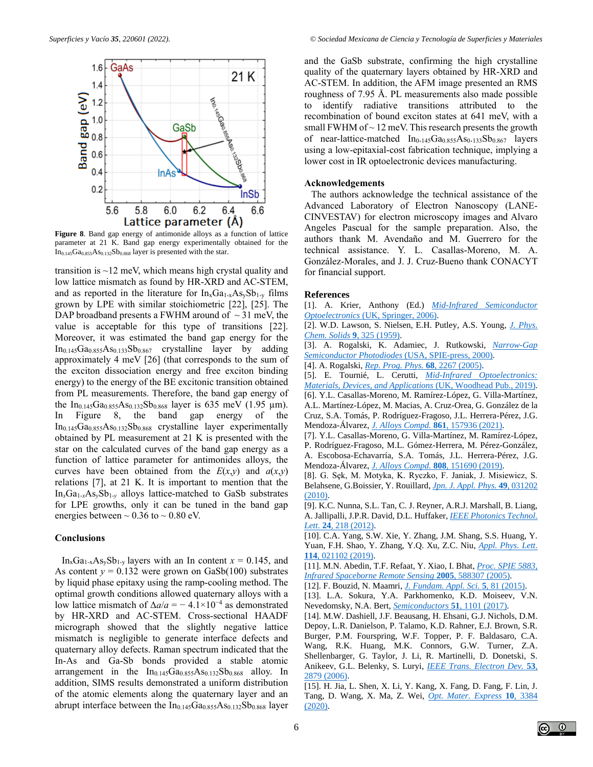

**Figure 8**. Band gap energy of antimonide alloys as a function of lattice parameter at 21 K. Band gap energy experimentally obtained for the  $In<sub>0.145</sub>Ga<sub>0.855</sub>As<sub>0.132</sub>Sb<sub>0.868</sub> layer is presented with the star.$ 

transition is ~12 meV, which means high crystal quality and low lattice mismatch as found by HR-XRD and AC-STEM, and as reported in the literature for  $In_xGa_{1-x}As_ySb_{1-y}$  films grown by LPE with similar stoichiometric [22], [25]. The DAP broadband presents a FWHM around of  $\sim$  31 meV, the value is acceptable for this type of transitions [22]. Moreover, it was estimated the band gap energy for the  $In<sub>0.145</sub>Ga<sub>0.855</sub>As<sub>0.133</sub>Sb<sub>0.867</sub>$  crystalline layer by adding approximately 4 meV [26] (that corresponds to the sum of the exciton dissociation energy and free exciton binding energy) to the energy of the BE excitonic transition obtained from PL measurements. Therefore, the band gap energy of the In<sub>0.145</sub>Ga<sub>0.855</sub>As<sub>0.132</sub>Sb<sub>0.868</sub> layer is 635 meV (1.95  $\mu$ m). In Figure 8, the band gap energy of the  $In<sub>0.145</sub>Ga<sub>0.855</sub>As<sub>0.132</sub>Sb<sub>0.868</sub>$  crystalline layer experimentally obtained by PL measurement at 21 K is presented with the star on the calculated curves of the band gap energy as a function of lattice parameter for antimonides alloys, the curves have been obtained from the  $E(x, y)$  and  $a(x, y)$ relations [7], at 21 K. It is important to mention that the In*x*Ga1-*x*As*y*Sb1-*<sup>y</sup>* alloys lattice-matched to GaSb substrates for LPE growths, only it can be tuned in the band gap energies between  $\sim 0.36$  to  $\sim 0.80$  eV.

## **Conclusions**

In<sub>x</sub>Ga<sub>1-x</sub>As<sub>y</sub>Sb<sub>1-y</sub> layers with an In content  $x = 0.145$ , and As content  $y = 0.132$  were grown on GaSb(100) substrates by liquid phase epitaxy using the ramp-cooling method. The optimal growth conditions allowed quaternary alloys with a low lattice mismatch of  $\Delta a/a = -4.1 \times 10^{-4}$  as demonstrated by HR-XRD and AC-STEM. Cross-sectional HAADF micrograph showed that the slightly negative lattice mismatch is negligible to generate interface defects and quaternary alloy defects. Raman spectrum indicated that the In-As and Ga-Sb bonds provided a stable atomic arrangement in the  $In<sub>0.145</sub>Ga<sub>0.855</sub>As<sub>0.132</sub>Sb<sub>0.868</sub>$  alloy. In addition, SIMS results demonstrated a uniform distribution of the atomic elements along the quaternary layer and an abrupt interface between the  $In<sub>0.145</sub>Ga<sub>0.855</sub>As<sub>0.132</sub>Sb<sub>0.868</sub> layer$ 

and the GaSb substrate, confirming the high crystalline quality of the quaternary layers obtained by HR-XRD and AC-STEM. In addition, the AFM image presented an RMS roughness of 7.95 Å. PL measurements also made possible to identify radiative transitions attributed to the recombination of bound exciton states at 641 meV, with a small FWHM of  $\sim$  12 meV. This research presents the growth of near-lattice-matched In<sub>0</sub>.145Ga0.855As0.133Sb0.867 layers using a low-epitaxial-cost fabrication technique, implying a lower cost in IR optoelectronic devices manufacturing.

#### **Acknowledgements**

The authors acknowledge the technical assistance of the Advanced Laboratory of Electron Nanoscopy (LANE-CINVESTAV) for electron microscopy images and Alvaro Angeles Pascual for the sample preparation. Also, the authors thank M. Avendaño and M. Guerrero for the technical assistance. Y. L. Casallas-Moreno, M. A. González-Morales, and J. J. Cruz-Bueno thank CONACYT for financial support.

## **References**

[1]. A. Krier, Anthony (Ed.) *[Mid-Infrared Semiconductor](https://doi.org/10.1007/1-84628-209-8)  Optoelectronics* (UK, [Springer, 2006\).](https://doi.org/10.1007/1-84628-209-8)

[2]. W.D. Lawson, S. Nielsen, E.H. Putley, A.S. Young, *J. [Phys.](https://doi.org/10.1016/0022-3697(59)90110-6) Chem. Solids* **9**, 325 [\(1959\).](https://doi.org/10.1016/0022-3697(59)90110-6)

[3]. A. Rogalski, K. Adamiec, J. Rutkowski, *[Narrow-Gap](https://spie.org/Publications/Book/366000)  [Semiconductor Photodiodes](https://spie.org/Publications/Book/366000)* (USA, SPIE-press, 2000).

[4]. A. Rogalski, *Rep. Prog. Phys.* **68**, 2267 [\(2005\).](https://doi.org/10.1088/0034-4885/68/10/R01)

[5]. E. Tournié, L. Cerutti, *[Mid-Infrared Optoelectronics:](https://www.elsevier.com/books/mid-infrared-optoelectronics/tournie/978-0-08-102709-7)  [Materials, Devices, and Applications](https://www.elsevier.com/books/mid-infrared-optoelectronics/tournie/978-0-08-102709-7)* (UK, Woodhead Pub., 2019).

[6]. Y.L. Casallas-Moreno, M. Ramírez-López, G. Villa-Martínez, A.L. Martínez-López, M. Macias, A. Cruz-Orea, G. González de la Cruz, S.A. Tomás, P. Rodríguez-Fragoso, J.L. Herrera-Pérez, J.G. Mendoza-Álvarez, *J. [Alloys Compd.](https://doi.org/10.1016/j.jallcom.2020.157936)* **861**, 157936 (2021).

[7]. Y.L. Casallas-Moreno, G. Villa-Martínez, M. Ramírez-López, P. Rodríguez-Fragoso, M.L. Gómez-Herrera, M. Pérez-González, A. Escobosa-Echavarría, S.A. Tomás, J.L. Herrera-Pérez, J.G. Mendoza-Álvarez, *[J. Alloys Compd.](https://doi:10.1016/j.jallcom.2019.151690)* **808**, 151690 (2019).

[8]. G. Sȩk, M. Motyka, K. Ryczko, F. Janiak, J. Misiewicz, S. Belahsene, G.Boissier, Y. Rouillard, *Jpn. J. Appl. Phys.* **49**[, 031202](https://doi.org/10.1143/JJAP.49.031202)  [\(2010\).](https://doi.org/10.1143/JJAP.49.031202)

[9]. K.C. Nunna, S.L. Tan, C. J. Reyner, A.R.J. Marshall, B. Liang, A. Jallipalli, J.P.R. David, D.L. Huffaker, *[IEEE Photonics Technol.](https://doi.org/10.1109/LPT.2011.2177253) Lett.* **24**, 218 [\(2012\).](https://doi.org/10.1109/LPT.2011.2177253)

[10]. C.A. Yang, S.W. Xie, Y. Zhang, J.M. Shang, S.S. Huang, Y. Yuan, F.H. Shao, Y. Zhang, Y.Q. Xu, Z.C. Niu, *Appl. [Phys.](https://doi.org/10.1063/1.5080266) Lett.* **114**[, 021102](https://doi.org/10.1063/1.5080266) (2019).

[11]. M.N. Abedin, T.F. Refaat, Y. Xiao, I. Bhat, *[Proc. SPIE 5883,](https://doi.org/10.1117/12.614938)  [Infrared Spaceborne Remote Sensing](https://doi.org/10.1117/12.614938)* **2005**, 588307 (2005).

[12]. F. Bouzid, N. Maamri, *J. [Fundam.](https://doi.org/10.4314/jfas.v5i1.7) Appl. Sci.* **5**, 81 (2015).

[13]. L.A. Sokura, Y.A. Parkhomenko, K.D. Moiseev, V.N. Nevedomsky, N.A. Bert, *[Semiconductors](https://doi.org/10.1134/S1063782617080310)* **51**, 1101 (2017).

[14]. M.W. Dashiell, J.F. Beausang, H. Ehsani, G.J. Nichols, D.M. Depoy, L.R. Danielson, P. Talamo, K.D. Rahner, E.J. Brown, S.R. Burger, P.M. Fourspring, W.F. Topper, P. F. Baldasaro, C.A. Wang, R.K. Huang, M.K. Connors, G.W. Turner, Z.A. Shellenbarger, G. Taylor, J. Li, R. Martinelli, D. Donetski, S. Anikeev, G.L. Belenky, S. Luryi, *IEEE Trans. [Electron Dev.](https://doi.org/10.1109/TED.2006.885087)* **53**, [2879 \(2006\).](https://doi.org/10.1109/TED.2006.885087) 

[15]. H. Jia, L. Shen, X. Li, Y. Kang, X. Fang, D. Fang, F. Lin, J. Tang, D. Wang, X. Ma, Z. Wei, *Opt. Mater. [Express](https://doi.org/10.1364/OME.410229)* **10**, 3384 [\(2020\).](https://doi.org/10.1364/OME.410229)